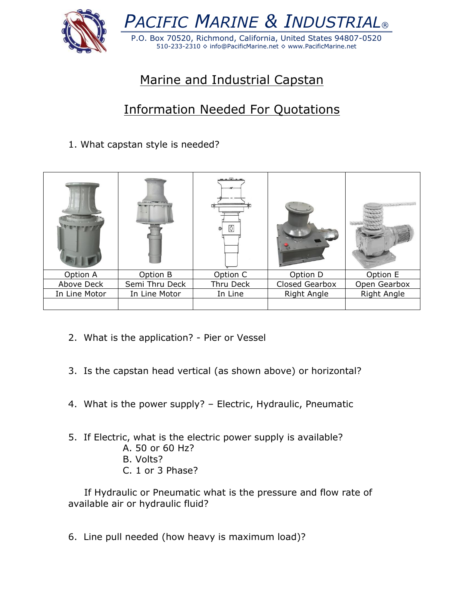

## Marine and Industrial Capstan

## Information Needed For Quotations

## 1. What capstan style is needed?

|               |                | ≬<br>$\circledcirc$ |                | article between |
|---------------|----------------|---------------------|----------------|-----------------|
| Option A      | Option B       | Option C            | Option D       | Option E        |
| Above Deck    | Semi Thru Deck | Thru Deck           | Closed Gearbox | Open Gearbox    |
| In Line Motor | In Line Motor  | In Line             | Right Angle    | Right Angle     |
|               |                |                     |                |                 |

- 2. What is the application? Pier or Vessel
- 3. Is the capstan head vertical (as shown above) or horizontal?
- 4. What is the power supply? Electric, Hydraulic, Pneumatic
- 5. If Electric, what is the electric power supply is available?
	- A. 50 or 60 Hz?
	- B. Volts?
	- C. 1 or 3 Phase?

 If Hydraulic or Pneumatic what is the pressure and flow rate of available air or hydraulic fluid?

6. Line pull needed (how heavy is maximum load)?